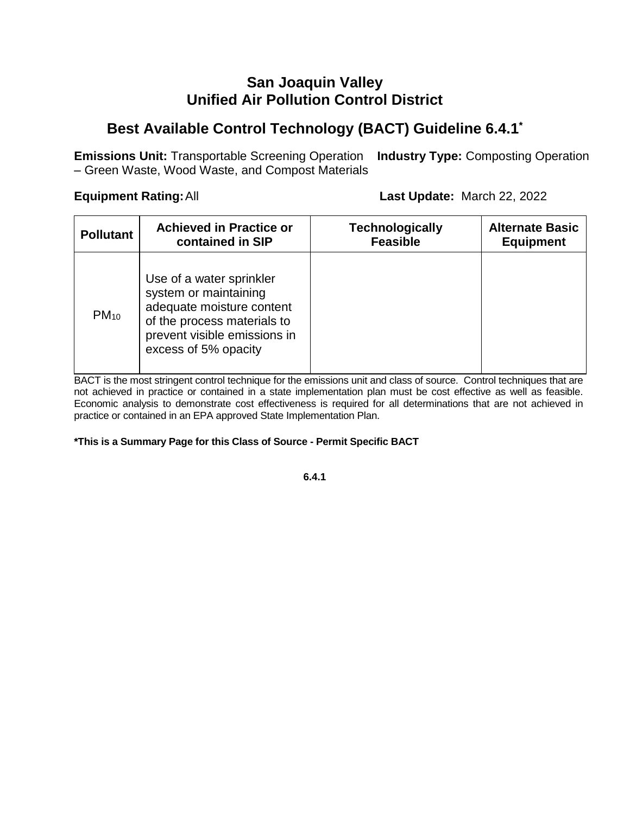# **San Joaquin Valley Unified Air Pollution Control District**

# **Best Available Control Technology (BACT) Guideline 6.4.1\***

**Emissions Unit:** Transportable Screening Operation **Industry Type:** Composting Operation – Green Waste, Wood Waste, and Compost Materials

**Equipment Rating:**All **Last Update:** March 22, 2022

| <b>Pollutant</b> | <b>Achieved in Practice or</b>                                                                                                                                        | <b>Technologically</b> | <b>Alternate Basic</b> |
|------------------|-----------------------------------------------------------------------------------------------------------------------------------------------------------------------|------------------------|------------------------|
|                  | contained in SIP                                                                                                                                                      | <b>Feasible</b>        | <b>Equipment</b>       |
| $PM_{10}$        | Use of a water sprinkler<br>system or maintaining<br>adequate moisture content<br>of the process materials to<br>prevent visible emissions in<br>excess of 5% opacity |                        |                        |

BACT is the most stringent control technique for the emissions unit and class of source. Control techniques that are not achieved in practice or contained in a state implementation plan must be cost effective as well as feasible. Economic analysis to demonstrate cost effectiveness is required for all determinations that are not achieved in practice or contained in an EPA approved State Implementation Plan.

#### **\*This is a Summary Page for this Class of Source - Permit Specific BACT**

**6.4.1**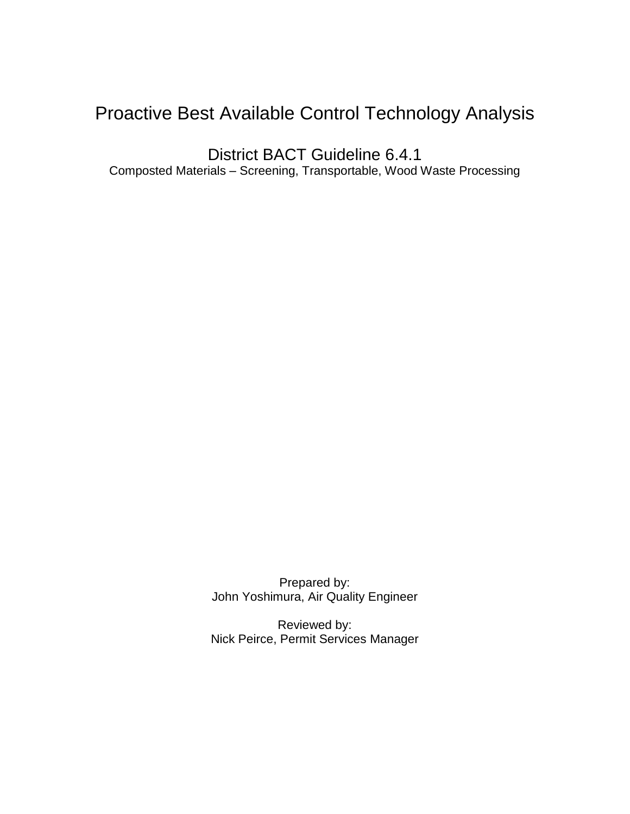# Proactive Best Available Control Technology Analysis

District BACT Guideline 6.4.1 Composted Materials – Screening, Transportable, Wood Waste Processing

> Prepared by: John Yoshimura, Air Quality Engineer

Reviewed by: Nick Peirce, Permit Services Manager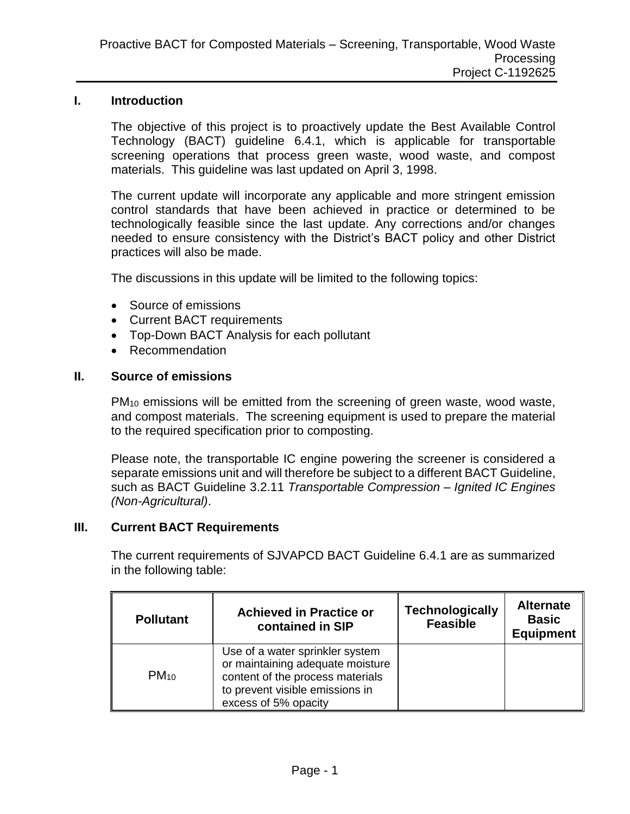#### **I. Introduction**

The objective of this project is to proactively update the Best Available Control Technology (BACT) guideline 6.4.1, which is applicable for transportable screening operations that process green waste, wood waste, and compost materials. This guideline was last updated on April 3, 1998.

The current update will incorporate any applicable and more stringent emission control standards that have been achieved in practice or determined to be technologically feasible since the last update. Any corrections and/or changes needed to ensure consistency with the District's BACT policy and other District practices will also be made.

The discussions in this update will be limited to the following topics:

- Source of emissions
- Current BACT requirements
- Top-Down BACT Analysis for each pollutant
- Recommendation

#### **II. Source of emissions**

PM<sup>10</sup> emissions will be emitted from the screening of green waste, wood waste, and compost materials. The screening equipment is used to prepare the material to the required specification prior to composting.

Please note, the transportable IC engine powering the screener is considered a separate emissions unit and will therefore be subject to a different BACT Guideline, such as BACT Guideline 3.2.11 *Transportable Compression – Ignited IC Engines (Non-Agricultural)*.

#### **III. Current BACT Requirements**

The current requirements of SJVAPCD BACT Guideline 6.4.1 are as summarized in the following table:

| <b>Pollutant</b> | <b>Achieved in Practice or</b><br>contained in SIP                                                                                                                 | <b>Technologically</b><br><b>Feasible</b> | <b>Alternate</b><br><b>Basic</b><br><b>Equipment</b> |
|------------------|--------------------------------------------------------------------------------------------------------------------------------------------------------------------|-------------------------------------------|------------------------------------------------------|
| $PM_{10}$        | Use of a water sprinkler system<br>or maintaining adequate moisture<br>content of the process materials<br>to prevent visible emissions in<br>excess of 5% opacity |                                           |                                                      |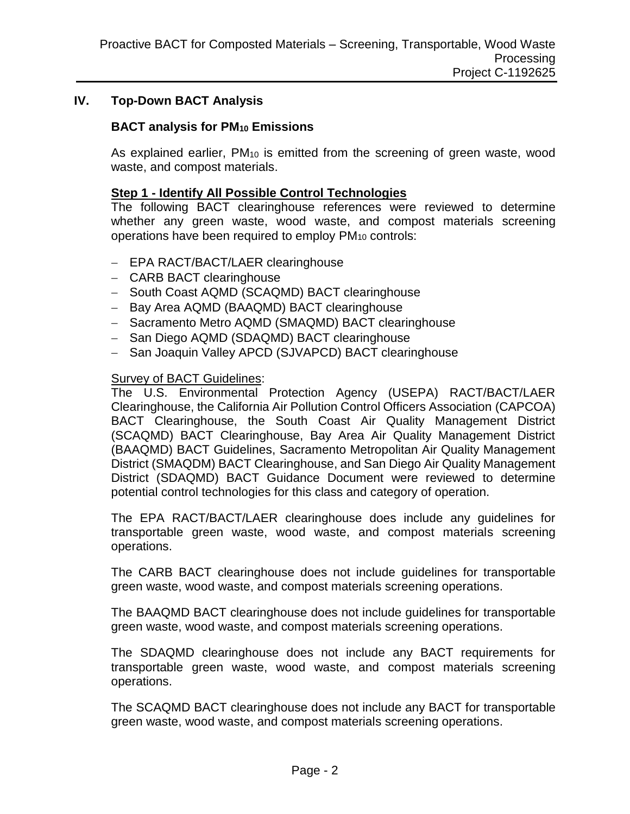### **IV. Top-Down BACT Analysis**

#### **BACT analysis for PM<sup>10</sup> Emissions**

As explained earlier, PM<sub>10</sub> is emitted from the screening of green waste, wood waste, and compost materials.

#### **Step 1 - Identify All Possible Control Technologies**

The following BACT clearinghouse references were reviewed to determine whether any green waste, wood waste, and compost materials screening operations have been required to employ  $PM_{10}$  controls:

- EPA RACT/BACT/LAER clearinghouse
- CARB BACT clearinghouse
- South Coast AQMD (SCAQMD) BACT clearinghouse
- Bay Area AQMD (BAAQMD) BACT clearinghouse
- Sacramento Metro AQMD (SMAQMD) BACT clearinghouse
- San Diego AQMD (SDAQMD) BACT clearinghouse
- San Joaquin Valley APCD (SJVAPCD) BACT clearinghouse

#### Survey of BACT Guidelines:

The U.S. Environmental Protection Agency (USEPA) RACT/BACT/LAER Clearinghouse, the California Air Pollution Control Officers Association (CAPCOA) BACT Clearinghouse, the South Coast Air Quality Management District (SCAQMD) BACT Clearinghouse, Bay Area Air Quality Management District (BAAQMD) BACT Guidelines, Sacramento Metropolitan Air Quality Management District (SMAQDM) BACT Clearinghouse, and San Diego Air Quality Management District (SDAQMD) BACT Guidance Document were reviewed to determine potential control technologies for this class and category of operation.

The EPA RACT/BACT/LAER clearinghouse does include any guidelines for transportable green waste, wood waste, and compost materials screening operations.

The CARB BACT clearinghouse does not include guidelines for transportable green waste, wood waste, and compost materials screening operations.

The BAAQMD BACT clearinghouse does not include guidelines for transportable green waste, wood waste, and compost materials screening operations.

The SDAQMD clearinghouse does not include any BACT requirements for transportable green waste, wood waste, and compost materials screening operations.

The SCAQMD BACT clearinghouse does not include any BACT for transportable green waste, wood waste, and compost materials screening operations.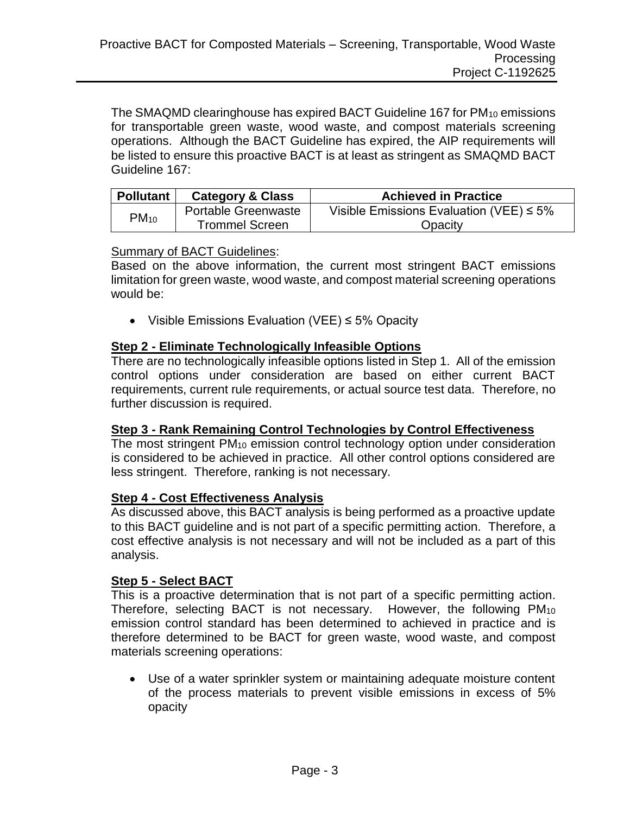The SMAQMD clearinghouse has expired BACT Guideline 167 for PM<sub>10</sub> emissions for transportable green waste, wood waste, and compost materials screening operations. Although the BACT Guideline has expired, the AIP requirements will be listed to ensure this proactive BACT is at least as stringent as SMAQMD BACT Guideline 167:

| <b>Pollutant</b> | <b>Category &amp; Class</b> | <b>Achieved in Practice</b>                   |
|------------------|-----------------------------|-----------------------------------------------|
| $PM_{10}$        | Portable Greenwaste         | Visible Emissions Evaluation (VEE) $\leq 5\%$ |
|                  | <b>Trommel Screen</b>       | Opacity                                       |

#### Summary of BACT Guidelines:

Based on the above information, the current most stringent BACT emissions limitation for green waste, wood waste, and compost material screening operations would be:

Visible Emissions Evaluation (VEE) ≤ 5% Opacity

### **Step 2 - Eliminate Technologically Infeasible Options**

There are no technologically infeasible options listed in Step 1. All of the emission control options under consideration are based on either current BACT requirements, current rule requirements, or actual source test data. Therefore, no further discussion is required.

### **Step 3 - Rank Remaining Control Technologies by Control Effectiveness**

The most stringent PM<sub>10</sub> emission control technology option under consideration is considered to be achieved in practice. All other control options considered are less stringent. Therefore, ranking is not necessary.

#### **Step 4 - Cost Effectiveness Analysis**

As discussed above, this BACT analysis is being performed as a proactive update to this BACT guideline and is not part of a specific permitting action. Therefore, a cost effective analysis is not necessary and will not be included as a part of this analysis.

### **Step 5 - Select BACT**

This is a proactive determination that is not part of a specific permitting action. Therefore, selecting BACT is not necessary. However, the following PM<sup>10</sup> emission control standard has been determined to achieved in practice and is therefore determined to be BACT for green waste, wood waste, and compost materials screening operations:

 Use of a water sprinkler system or maintaining adequate moisture content of the process materials to prevent visible emissions in excess of 5% opacity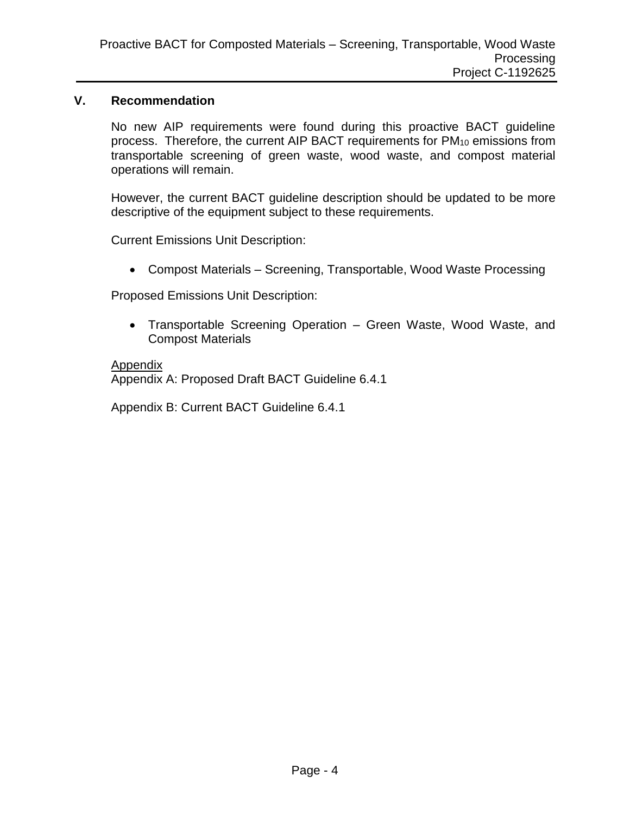#### **V. Recommendation**

No new AIP requirements were found during this proactive BACT guideline process. Therefore, the current AIP BACT requirements for  $PM_{10}$  emissions from transportable screening of green waste, wood waste, and compost material operations will remain.

However, the current BACT guideline description should be updated to be more descriptive of the equipment subject to these requirements.

Current Emissions Unit Description:

Compost Materials – Screening, Transportable, Wood Waste Processing

Proposed Emissions Unit Description:

 Transportable Screening Operation – Green Waste, Wood Waste, and Compost Materials

#### **Appendix**

Appendix A: Proposed Draft BACT Guideline 6.4.1

Appendix B: Current BACT Guideline 6.4.1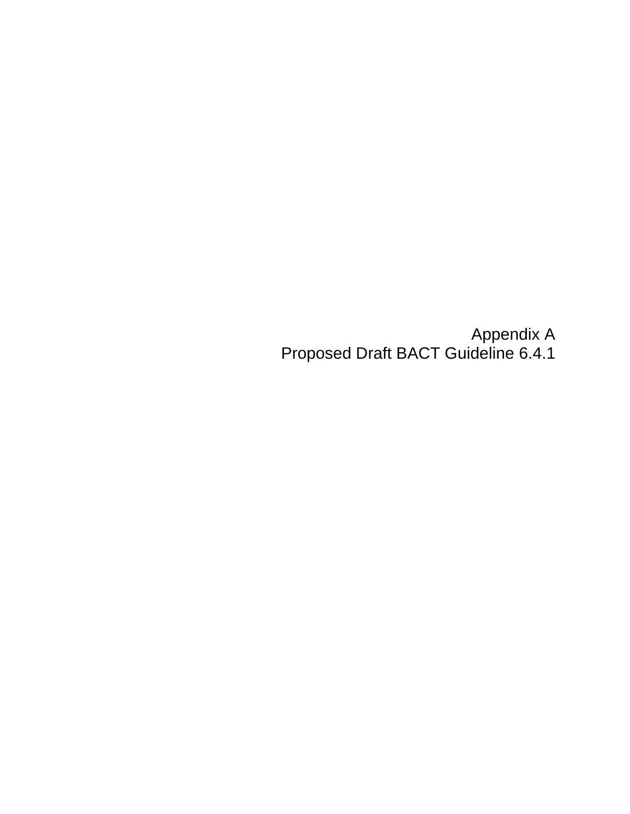Appendix A Proposed Draft BACT Guideline 6.4.1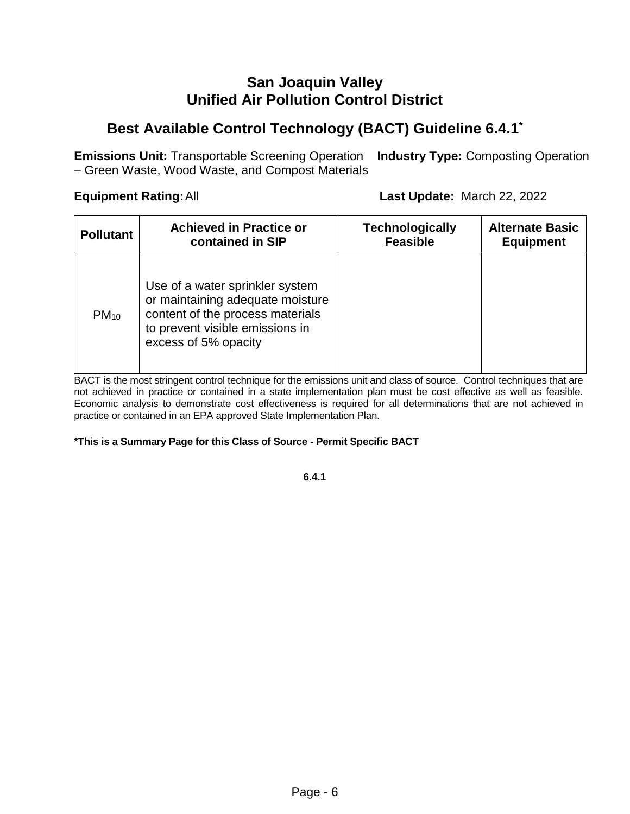# **San Joaquin Valley Unified Air Pollution Control District**

# **Best Available Control Technology (BACT) Guideline 6.4.1\***

**Emissions Unit:** Transportable Screening Operation **Industry Type:** Composting Operation – Green Waste, Wood Waste, and Compost Materials

**Equipment Rating:**All **Last Update:** March 22, 2022

| <b>Pollutant</b> | <b>Achieved in Practice or</b>                                                                                                                                     | <b>Technologically</b> | <b>Alternate Basic</b> |
|------------------|--------------------------------------------------------------------------------------------------------------------------------------------------------------------|------------------------|------------------------|
|                  | contained in SIP                                                                                                                                                   | <b>Feasible</b>        | <b>Equipment</b>       |
| $PM_{10}$        | Use of a water sprinkler system<br>or maintaining adequate moisture<br>content of the process materials<br>to prevent visible emissions in<br>excess of 5% opacity |                        |                        |

BACT is the most stringent control technique for the emissions unit and class of source. Control techniques that are not achieved in practice or contained in a state implementation plan must be cost effective as well as feasible. Economic analysis to demonstrate cost effectiveness is required for all determinations that are not achieved in practice or contained in an EPA approved State Implementation Plan.

#### **\*This is a Summary Page for this Class of Source - Permit Specific BACT**

**6.4.1**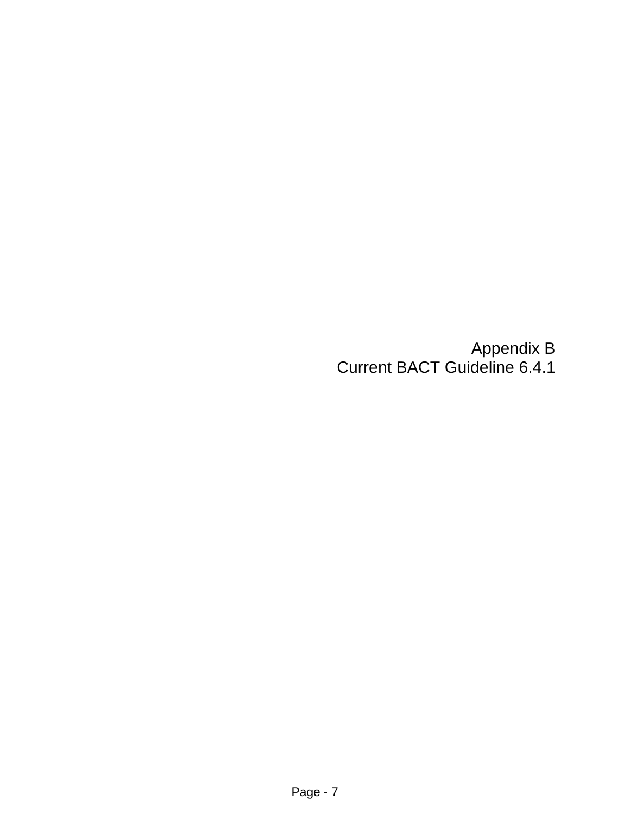Appendix B Current BACT Guideline 6.4.1